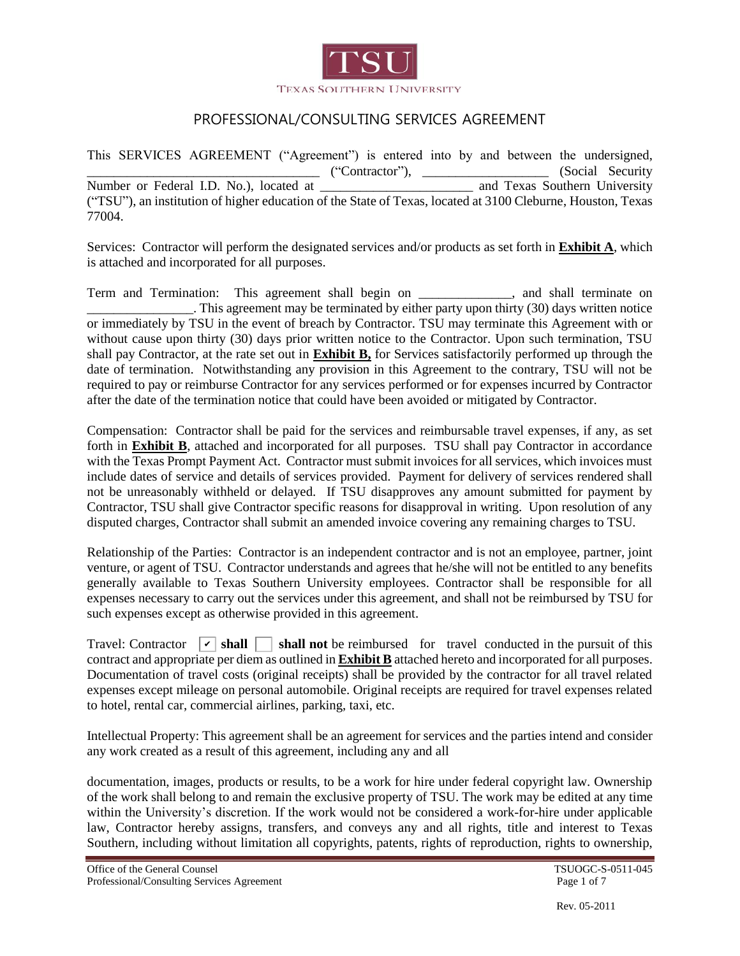

This SERVICES AGREEMENT ("Agreement") is entered into by and between the undersigned, The Contractor Contractor ("Contractor"), and Texas Southern University<br>
Number or Federal I.D. No.), located at and Texas Southern University ("TSU"), an institution of higher education of the State of Texas, located at 3100 Cleburne, Houston, Texas 77004.

Services: Contractor will perform the designated services and/or products as set forth in **Exhibit A**, which is attached and incorporated for all purposes.

Term and Termination: This agreement shall begin on \_\_\_\_\_\_\_\_\_\_\_\_\_\_, and shall terminate on . This agreement may be terminated by either party upon thirty (30) days written notice or immediately by TSU in the event of breach by Contractor. TSU may terminate this Agreement with or without cause upon thirty (30) days prior written notice to the Contractor. Upon such termination, TSU shall pay Contractor, at the rate set out in **Exhibit B,** for Services satisfactorily performed up through the date of termination. Notwithstanding any provision in this Agreement to the contrary, TSU will not be required to pay or reimburse Contractor for any services performed or for expenses incurred by Contractor after the date of the termination notice that could have been avoided or mitigated by Contractor.

Compensation: Contractor shall be paid for the services and reimbursable travel expenses, if any, as set forth in **Exhibit B**, attached and incorporated for all purposes. TSU shall pay Contractor in accordance with the Texas Prompt Payment Act. Contractor must submit invoices for all services, which invoices must include dates of service and details of services provided. Payment for delivery of services rendered shall not be unreasonably withheld or delayed. If TSU disapproves any amount submitted for payment by Contractor, TSU shall give Contractor specific reasons for disapproval in writing. Upon resolution of any disputed charges, Contractor shall submit an amended invoice covering any remaining charges to TSU.

Relationship of the Parties: Contractor is an independent contractor and is not an employee, partner, joint venture, or agent of TSU. Contractor understands and agrees that he/she will not be entitled to any benefits generally available to Texas Southern University employees. Contractor shall be responsible for all expenses necessary to carry out the services under this agreement, and shall not be reimbursed by TSU for such expenses except as otherwise provided in this agreement.

 $\Box$  shall not be reimbursed for travel conducted in the pursuit of this contract and appropriate per diem as outlined in **Exhibit B** attached hereto and incorporated for all purposes. Documentation of travel costs (original receipts) shall be provided by the contractor for all travel related expenses except mileage on personal automobile. Original receipts are required for travel expenses related to hotel, rental car, commercial airlines, parking, taxi, etc. Travel: Contractor  $\boxed{\mathbf{v}}$  shall  $\boxed{\phantom{0}}$ 

Intellectual Property: This agreement shall be an agreement for services and the parties intend and consider any work created as a result of this agreement, including any and all

documentation, images, products or results, to be a work for hire under federal copyright law. Ownership of the work shall belong to and remain the exclusive property of TSU. The work may be edited at any time within the University's discretion. If the work would not be considered a work-for-hire under applicable law, Contractor hereby assigns, transfers, and conveys any and all rights, title and interest to Texas Southern, including without limitation all copyrights, patents, rights of reproduction, rights to ownership,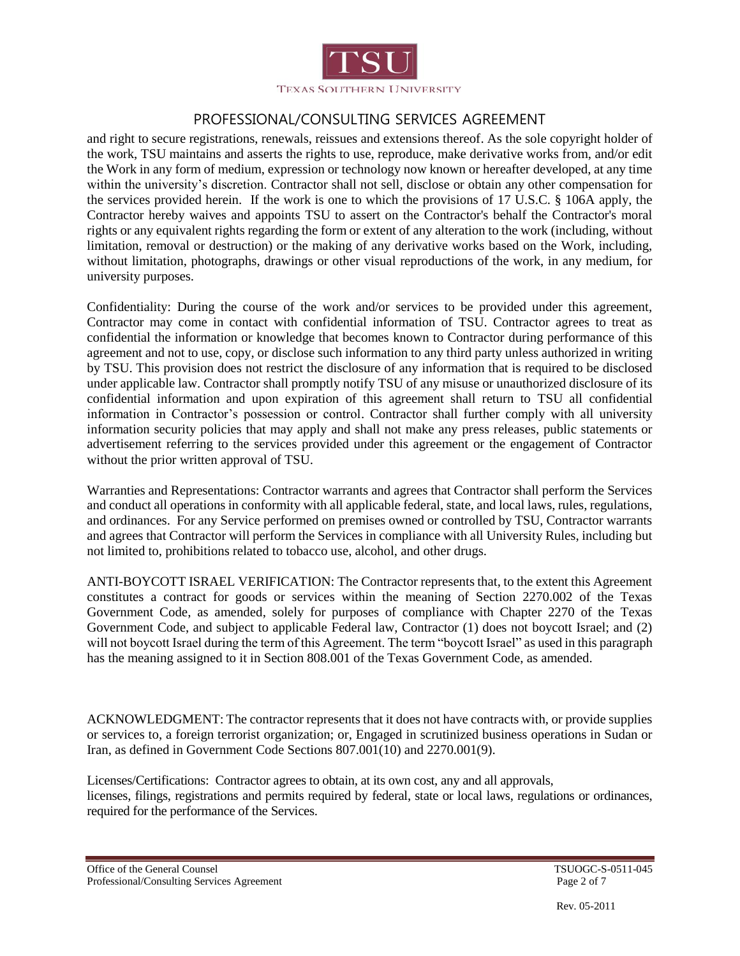

and right to secure registrations, renewals, reissues and extensions thereof. As the sole copyright holder of the work, TSU maintains and asserts the rights to use, reproduce, make derivative works from, and/or edit the Work in any form of medium, expression or technology now known or hereafter developed, at any time within the university's discretion. Contractor shall not sell, disclose or obtain any other compensation for the services provided herein. If the work is one to which the provisions of 17 U.S.C. § 106A apply, the Contractor hereby waives and appoints TSU to assert on the Contractor's behalf the Contractor's moral rights or any equivalent rights regarding the form or extent of any alteration to the work (including, without limitation, removal or destruction) or the making of any derivative works based on the Work, including, without limitation, photographs, drawings or other visual reproductions of the work, in any medium, for university purposes.

Confidentiality: During the course of the work and/or services to be provided under this agreement, Contractor may come in contact with confidential information of TSU. Contractor agrees to treat as confidential the information or knowledge that becomes known to Contractor during performance of this agreement and not to use, copy, or disclose such information to any third party unless authorized in writing by TSU. This provision does not restrict the disclosure of any information that is required to be disclosed under applicable law. Contractor shall promptly notify TSU of any misuse or unauthorized disclosure of its confidential information and upon expiration of this agreement shall return to TSU all confidential information in Contractor's possession or control. Contractor shall further comply with all university information security policies that may apply and shall not make any press releases, public statements or advertisement referring to the services provided under this agreement or the engagement of Contractor without the prior written approval of TSU.

Warranties and Representations: Contractor warrants and agrees that Contractor shall perform the Services and conduct all operations in conformity with all applicable federal, state, and local laws, rules, regulations, and ordinances. For any Service performed on premises owned or controlled by TSU, Contractor warrants and agrees that Contractor will perform the Services in compliance with all University Rules, including but not limited to, prohibitions related to tobacco use, alcohol, and other drugs.

ANTI-BOYCOTT ISRAEL VERIFICATION: The Contractor represents that, to the extent this Agreement constitutes a contract for goods or services within the meaning of Section 2270.002 of the Texas Government Code, as amended, solely for purposes of compliance with Chapter 2270 of the Texas Government Code, and subject to applicable Federal law, Contractor (1) does not boycott Israel; and (2) will not boycott Israel during the term of this Agreement. The term "boycott Israel" as used in this paragraph has the meaning assigned to it in Section 808.001 of the Texas Government Code, as amended.

ACKNOWLEDGMENT: The contractor represents that it does not have contracts with, or provide supplies or services to, a foreign terrorist organization; or, Engaged in scrutinized business operations in Sudan or Iran, as defined in Government Code Sections 807.001(10) and 2270.001(9).

Licenses/Certifications: Contractor agrees to obtain, at its own cost, any and all approvals, licenses, filings, registrations and permits required by federal, state or local laws, regulations or ordinances, required for the performance of the Services.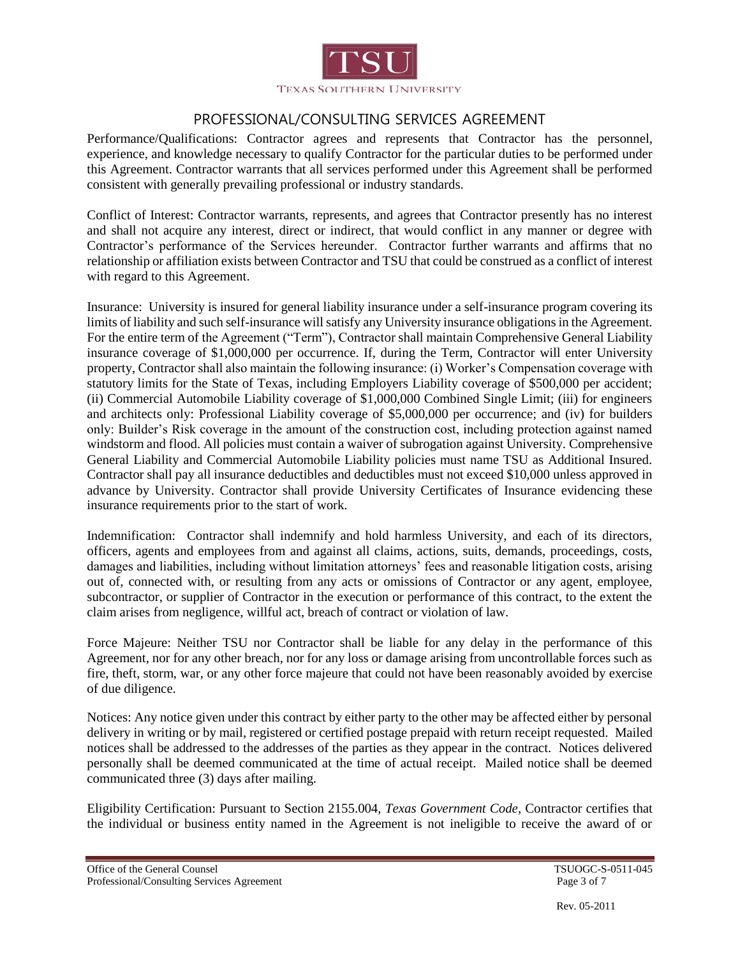

Performance/Qualifications: Contractor agrees and represents that Contractor has the personnel, experience, and knowledge necessary to qualify Contractor for the particular duties to be performed under this Agreement. Contractor warrants that all services performed under this Agreement shall be performed consistent with generally prevailing professional or industry standards.

Conflict of Interest: Contractor warrants, represents, and agrees that Contractor presently has no interest and shall not acquire any interest, direct or indirect, that would conflict in any manner or degree with Contractor's performance of the Services hereunder. Contractor further warrants and affirms that no relationship or affiliation exists between Contractor and TSU that could be construed as a conflict of interest with regard to this Agreement.

Insurance: University is insured for general liability insurance under a self-insurance program covering its limits of liability and such self-insurance will satisfy any University insurance obligations in the Agreement. For the entire term of the Agreement ("Term"), Contractor shall maintain Comprehensive General Liability insurance coverage of \$1,000,000 per occurrence. If, during the Term, Contractor will enter University property, Contractor shall also maintain the following insurance: (i) Worker's Compensation coverage with statutory limits for the State of Texas, including Employers Liability coverage of \$500,000 per accident; (ii) Commercial Automobile Liability coverage of \$1,000,000 Combined Single Limit; (iii) for engineers and architects only: Professional Liability coverage of \$5,000,000 per occurrence; and (iv) for builders only: Builder's Risk coverage in the amount of the construction cost, including protection against named windstorm and flood. All policies must contain a waiver of subrogation against University. Comprehensive General Liability and Commercial Automobile Liability policies must name TSU as Additional Insured. Contractor shall pay all insurance deductibles and deductibles must not exceed \$10,000 unless approved in advance by University. Contractor shall provide University Certificates of Insurance evidencing these insurance requirements prior to the start of work.

Indemnification: Contractor shall indemnify and hold harmless University, and each of its directors, officers, agents and employees from and against all claims, actions, suits, demands, proceedings, costs, damages and liabilities, including without limitation attorneys' fees and reasonable litigation costs, arising out of, connected with, or resulting from any acts or omissions of Contractor or any agent, employee, subcontractor, or supplier of Contractor in the execution or performance of this contract, to the extent the claim arises from negligence, willful act, breach of contract or violation of law.

Force Majeure: Neither TSU nor Contractor shall be liable for any delay in the performance of this Agreement, nor for any other breach, nor for any loss or damage arising from uncontrollable forces such as fire, theft, storm, war, or any other force majeure that could not have been reasonably avoided by exercise of due diligence.

Notices: Any notice given under this contract by either party to the other may be affected either by personal delivery in writing or by mail, registered or certified postage prepaid with return receipt requested. Mailed notices shall be addressed to the addresses of the parties as they appear in the contract. Notices delivered personally shall be deemed communicated at the time of actual receipt. Mailed notice shall be deemed communicated three (3) days after mailing.

Eligibility Certification: Pursuant to Section 2155.004, *Texas Government Code*, Contractor certifies that the individual or business entity named in the Agreement is not ineligible to receive the award of or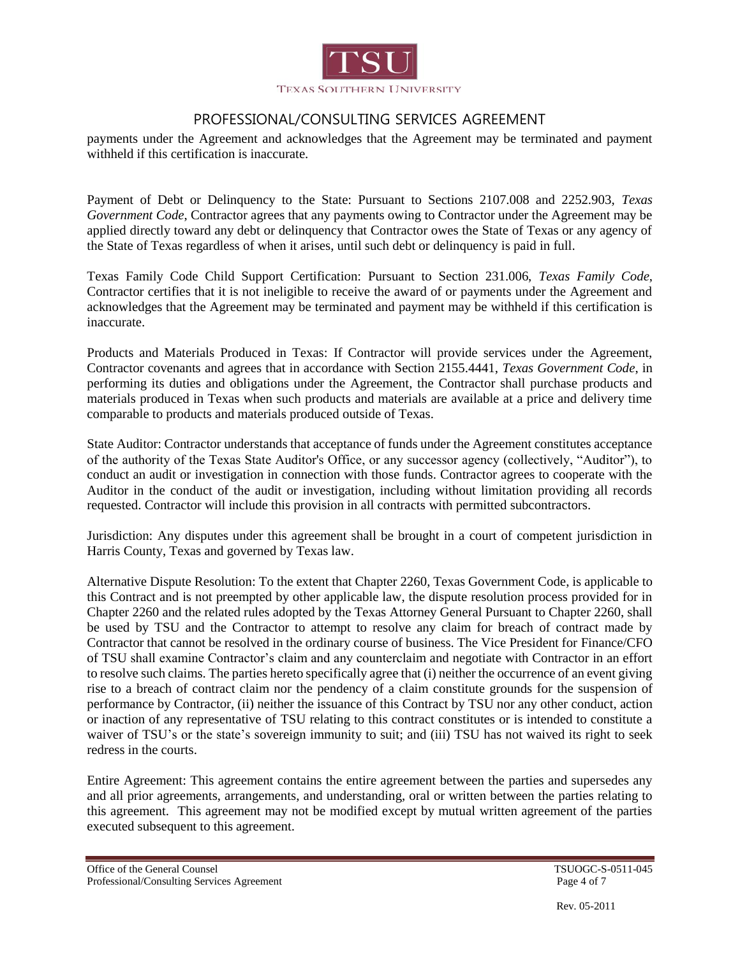

payments under the Agreement and acknowledges that the Agreement may be terminated and payment withheld if this certification is inaccurate.

Payment of Debt or Delinquency to the State: Pursuant to Sections 2107.008 and 2252.903, *Texas Government Code*, Contractor agrees that any payments owing to Contractor under the Agreement may be applied directly toward any debt or delinquency that Contractor owes the State of Texas or any agency of the State of Texas regardless of when it arises, until such debt or delinquency is paid in full.

Texas Family Code Child Support Certification: Pursuant to Section 231.006, *Texas Family Code*, Contractor certifies that it is not ineligible to receive the award of or payments under the Agreement and acknowledges that the Agreement may be terminated and payment may be withheld if this certification is inaccurate.

Products and Materials Produced in Texas: If Contractor will provide services under the Agreement, Contractor covenants and agrees that in accordance with Section 2155.4441, *Texas Government Code*, in performing its duties and obligations under the Agreement, the Contractor shall purchase products and materials produced in Texas when such products and materials are available at a price and delivery time comparable to products and materials produced outside of Texas.

State Auditor: Contractor understands that acceptance of funds under the Agreement constitutes acceptance of the authority of the Texas State Auditor's Office, or any successor agency (collectively, "Auditor"), to conduct an audit or investigation in connection with those funds. Contractor agrees to cooperate with the Auditor in the conduct of the audit or investigation, including without limitation providing all records requested. Contractor will include this provision in all contracts with permitted subcontractors.

Jurisdiction: Any disputes under this agreement shall be brought in a court of competent jurisdiction in Harris County, Texas and governed by Texas law.

Alternative Dispute Resolution: To the extent that Chapter 2260, Texas Government Code, is applicable to this Contract and is not preempted by other applicable law, the dispute resolution process provided for in Chapter 2260 and the related rules adopted by the Texas Attorney General Pursuant to Chapter 2260, shall be used by TSU and the Contractor to attempt to resolve any claim for breach of contract made by Contractor that cannot be resolved in the ordinary course of business. The Vice President for Finance/CFO of TSU shall examine Contractor's claim and any counterclaim and negotiate with Contractor in an effort to resolve such claims. The parties hereto specifically agree that (i) neither the occurrence of an event giving rise to a breach of contract claim nor the pendency of a claim constitute grounds for the suspension of performance by Contractor, (ii) neither the issuance of this Contract by TSU nor any other conduct, action or inaction of any representative of TSU relating to this contract constitutes or is intended to constitute a waiver of TSU's or the state's sovereign immunity to suit; and (iii) TSU has not waived its right to seek redress in the courts.

Entire Agreement: This agreement contains the entire agreement between the parties and supersedes any and all prior agreements, arrangements, and understanding, oral or written between the parties relating to this agreement. This agreement may not be modified except by mutual written agreement of the parties executed subsequent to this agreement.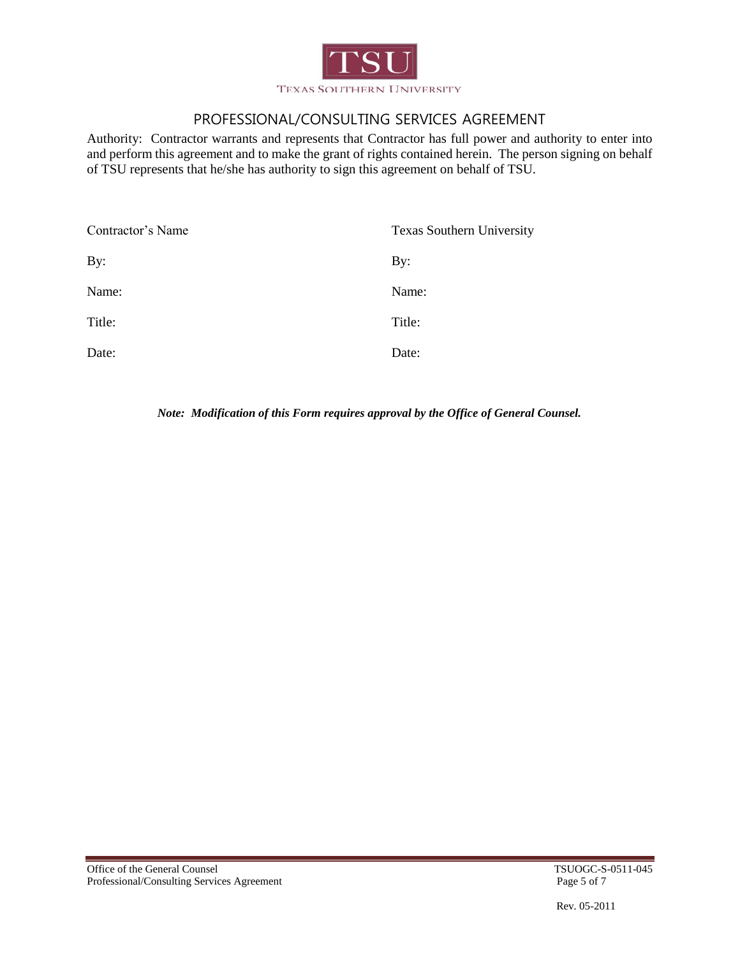

Authority: Contractor warrants and represents that Contractor has full power and authority to enter into and perform this agreement and to make the grant of rights contained herein. The person signing on behalf of TSU represents that he/she has authority to sign this agreement on behalf of TSU.

| Contractor's Name<br><b>Texas Southern University</b> |        |
|-------------------------------------------------------|--------|
| By:                                                   | By:    |
| Name:                                                 | Name:  |
| Title:                                                | Title: |
| Date:                                                 | Date:  |

*Note: Modification of this Form requires approval by the Office of General Counsel.*

Rev. 05-2011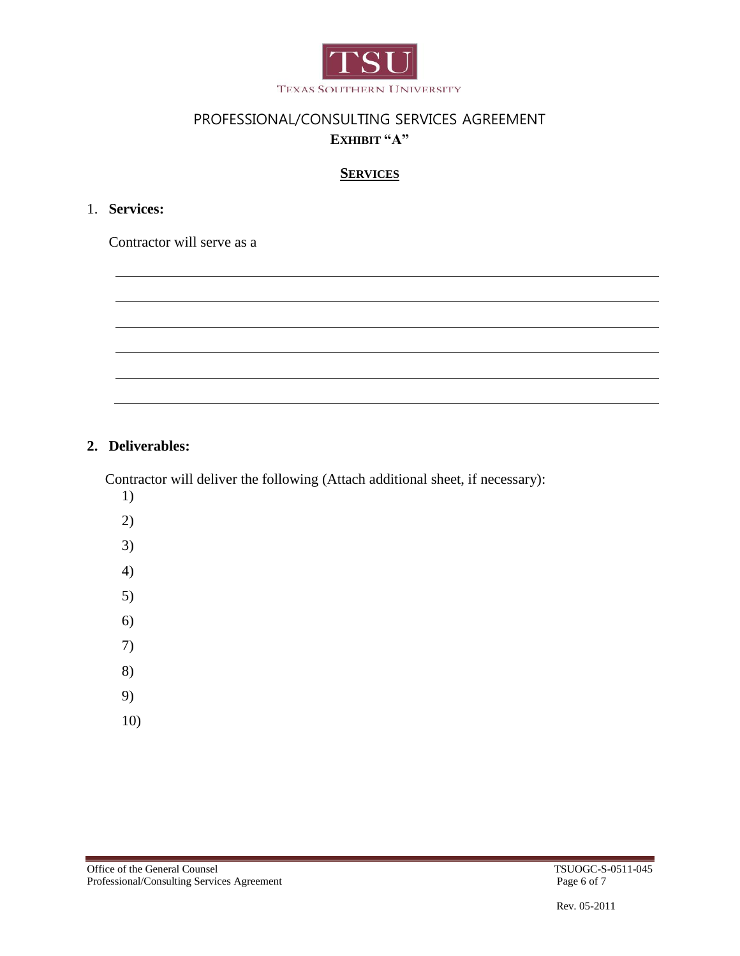

# PROFESSIONAL/CONSULTING SERVICES AGREEMENT **EXHIBIT "A"**

## **SERVICES**

## 1. **Services:**

Contractor will serve as a

#### **2. Deliverables:**

Contractor will deliver the following (Attach additional sheet, if necessary):

- 1) 2) 3) 4)
- 5)
- 6)
- 7)
- 8)
- 9)
- 10)